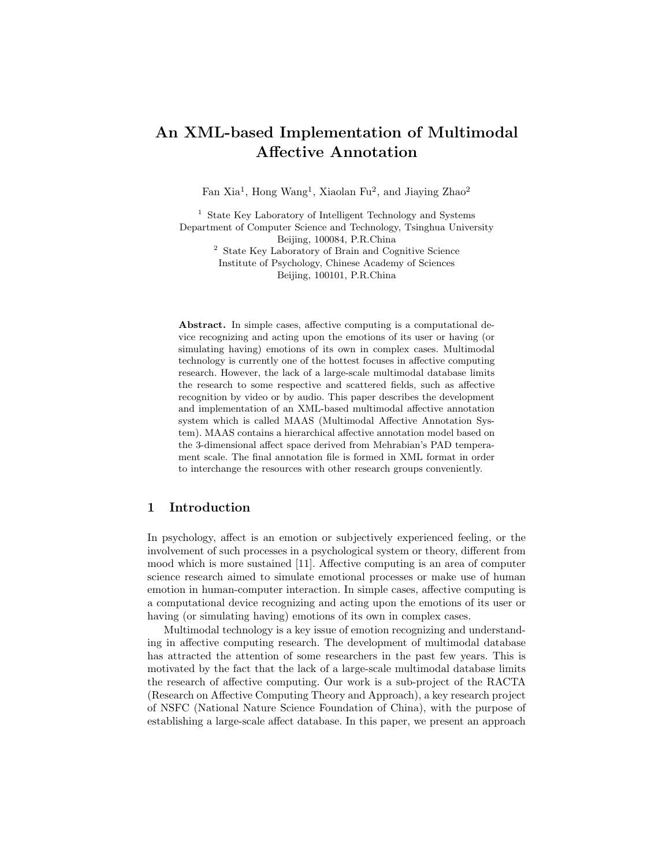# An XML-based Implementation of Multimodal Affective Annotation

Fan Xia<sup>1</sup>, Hong Wang<sup>1</sup>, Xiaolan Fu<sup>2</sup>, and Jiaying Zhao<sup>2</sup>

<sup>1</sup> State Key Laboratory of Intelligent Technology and Systems Department of Computer Science and Technology, Tsinghua University Beijing, 100084, P.R.China <sup>2</sup> State Key Laboratory of Brain and Cognitive Science Institute of Psychology, Chinese Academy of Sciences Beijing, 100101, P.R.China

Abstract. In simple cases, affective computing is a computational device recognizing and acting upon the emotions of its user or having (or simulating having) emotions of its own in complex cases. Multimodal technology is currently one of the hottest focuses in affective computing research. However, the lack of a large-scale multimodal database limits the research to some respective and scattered fields, such as affective recognition by video or by audio. This paper describes the development and implementation of an XML-based multimodal affective annotation system which is called MAAS (Multimodal Affective Annotation System). MAAS contains a hierarchical affective annotation model based on the 3-dimensional affect space derived from Mehrabian's PAD temperament scale. The final annotation file is formed in XML format in order to interchange the resources with other research groups conveniently.

#### 1 Introduction

In psychology, affect is an emotion or subjectively experienced feeling, or the involvement of such processes in a psychological system or theory, different from mood which is more sustained [11]. Affective computing is an area of computer science research aimed to simulate emotional processes or make use of human emotion in human-computer interaction. In simple cases, affective computing is a computational device recognizing and acting upon the emotions of its user or having (or simulating having) emotions of its own in complex cases.

Multimodal technology is a key issue of emotion recognizing and understanding in affective computing research. The development of multimodal database has attracted the attention of some researchers in the past few years. This is motivated by the fact that the lack of a large-scale multimodal database limits the research of affective computing. Our work is a sub-project of the RACTA (Research on Affective Computing Theory and Approach), a key research project of NSFC (National Nature Science Foundation of China), with the purpose of establishing a large-scale affect database. In this paper, we present an approach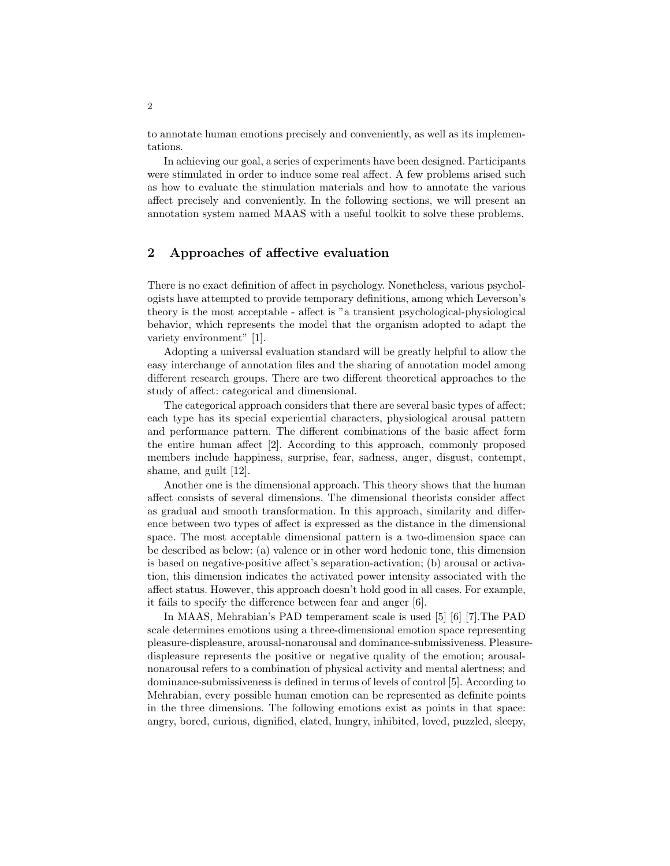to annotate human emotions precisely and conveniently, as well as its implementations.

In achieving our goal, a series of experiments have been designed. Participants were stimulated in order to induce some real affect. A few problems arised such as how to evaluate the stimulation materials and how to annotate the various affect precisely and conveniently. In the following sections, we will present an annotation system named MAAS with a useful toolkit to solve these problems.

## 2 Approaches of affective evaluation

There is no exact definition of affect in psychology. Nonetheless, various psychologists have attempted to provide temporary definitions, among which Leverson's theory is the most acceptable - affect is "a transient psychological-physiological behavior, which represents the model that the organism adopted to adapt the variety environment" [1].

Adopting a universal evaluation standard will be greatly helpful to allow the easy interchange of annotation files and the sharing of annotation model among different research groups. There are two different theoretical approaches to the study of affect: categorical and dimensional.

The categorical approach considers that there are several basic types of affect; each type has its special experiential characters, physiological arousal pattern and performance pattern. The different combinations of the basic affect form the entire human affect [2]. According to this approach, commonly proposed members include happiness, surprise, fear, sadness, anger, disgust, contempt, shame, and guilt [12].

Another one is the dimensional approach. This theory shows that the human affect consists of several dimensions. The dimensional theorists consider affect as gradual and smooth transformation. In this approach, similarity and difference between two types of affect is expressed as the distance in the dimensional space. The most acceptable dimensional pattern is a two-dimension space can be described as below: (a) valence or in other word hedonic tone, this dimension is based on negative-positive affect's separation-activation; (b) arousal or activation, this dimension indicates the activated power intensity associated with the affect status. However, this approach doesn't hold good in all cases. For example, it fails to specify the difference between fear and anger [6].

In MAAS, Mehrabian's PAD temperament scale is used [5] [6] [7].The PAD scale determines emotions using a three-dimensional emotion space representing pleasure-displeasure, arousal-nonarousal and dominance-submissiveness. Pleasuredispleasure represents the positive or negative quality of the emotion; arousalnonarousal refers to a combination of physical activity and mental alertness; and dominance-submissiveness is defined in terms of levels of control [5]. According to Mehrabian, every possible human emotion can be represented as definite points in the three dimensions. The following emotions exist as points in that space: angry, bored, curious, dignified, elated, hungry, inhibited, loved, puzzled, sleepy,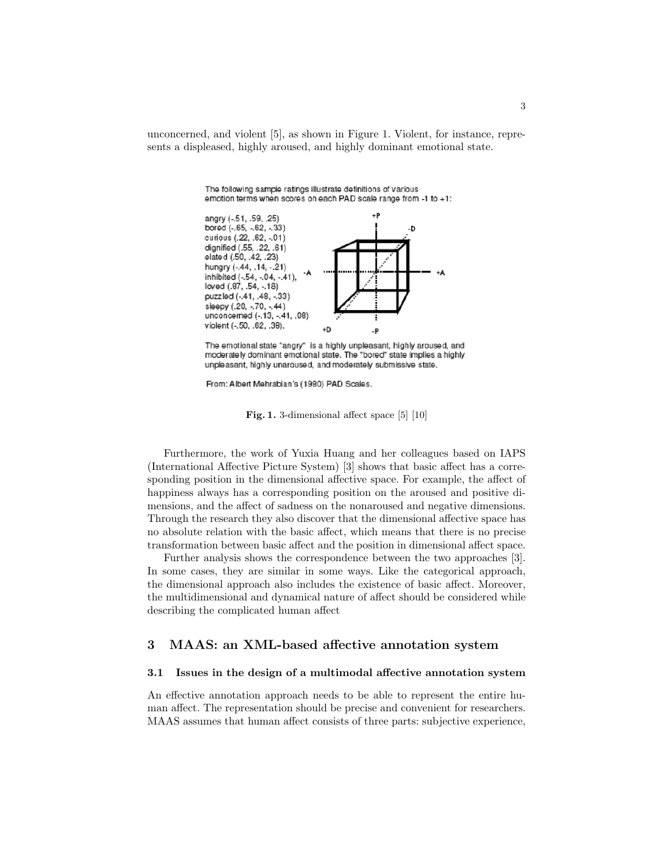unconcerned, and violent [5], as shown in Figure 1. Violent, for instance, represents a displeased, highly aroused, and highly dominant emotional state.

> The following sample ratings illustrate definitions of various emotion terms when scores on each PAD scale range from -1 to +1:



The emotional state "angry" is a highly unpleasant, highly aroused, and moderately dominant emotional state. The "bored" state implies a highly unpleasant, highly unaroused, and moderately submissive state.

From: Albert Mehrabian's (1980) PAD Scales.

Fig. 1. 3-dimensional affect space [5] [10]

Furthermore, the work of Yuxia Huang and her colleagues based on IAPS (International Affective Picture System) [3] shows that basic affect has a corresponding position in the dimensional affective space. For example, the affect of happiness always has a corresponding position on the aroused and positive dimensions, and the affect of sadness on the nonaroused and negative dimensions. Through the research they also discover that the dimensional affective space has no absolute relation with the basic affect, which means that there is no precise transformation between basic affect and the position in dimensional affect space.

Further analysis shows the correspondence between the two approaches [3]. In some cases, they are similar in some ways. Like the categorical approach, the dimensional approach also includes the existence of basic affect. Moreover, the multidimensional and dynamical nature of affect should be considered while describing the complicated human affect

#### 3 MAAS: an XML-based affective annotation system

#### 3.1 Issues in the design of a multimodal affective annotation system

An effective annotation approach needs to be able to represent the entire human affect. The representation should be precise and convenient for researchers. MAAS assumes that human affect consists of three parts: subjective experience,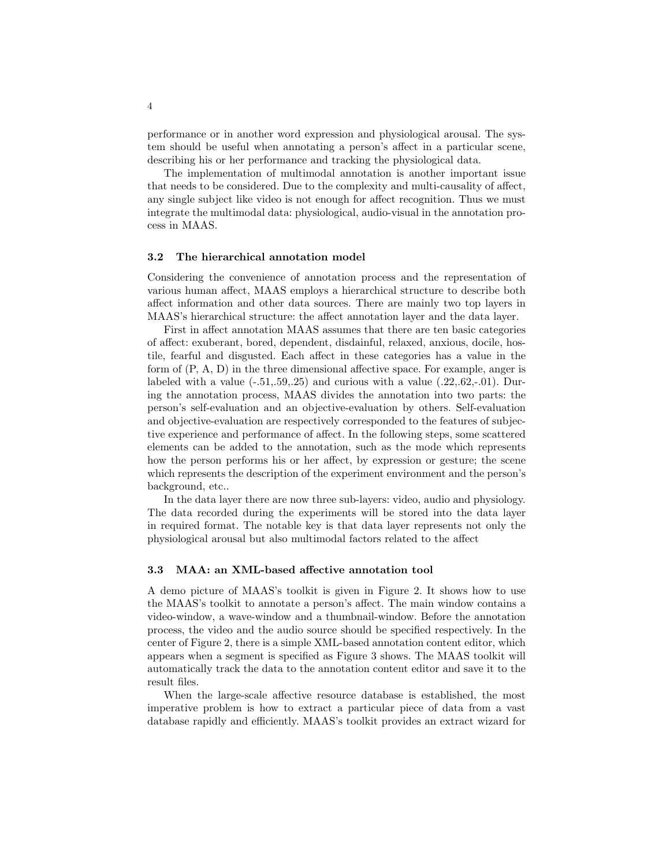performance or in another word expression and physiological arousal. The system should be useful when annotating a person's affect in a particular scene, describing his or her performance and tracking the physiological data.

The implementation of multimodal annotation is another important issue that needs to be considered. Due to the complexity and multi-causality of affect, any single subject like video is not enough for affect recognition. Thus we must integrate the multimodal data: physiological, audio-visual in the annotation process in MAAS.

#### 3.2 The hierarchical annotation model

Considering the convenience of annotation process and the representation of various human affect, MAAS employs a hierarchical structure to describe both affect information and other data sources. There are mainly two top layers in MAAS's hierarchical structure: the affect annotation layer and the data layer.

First in affect annotation MAAS assumes that there are ten basic categories of affect: exuberant, bored, dependent, disdainful, relaxed, anxious, docile, hostile, fearful and disgusted. Each affect in these categories has a value in the form of (P, A, D) in the three dimensional affective space. For example, anger is labeled with a value  $(-.51, .59, .25)$  and curious with a value  $(.22, .62, .01)$ . During the annotation process, MAAS divides the annotation into two parts: the person's self-evaluation and an objective-evaluation by others. Self-evaluation and objective-evaluation are respectively corresponded to the features of subjective experience and performance of affect. In the following steps, some scattered elements can be added to the annotation, such as the mode which represents how the person performs his or her affect, by expression or gesture; the scene which represents the description of the experiment environment and the person's background, etc..

In the data layer there are now three sub-layers: video, audio and physiology. The data recorded during the experiments will be stored into the data layer in required format. The notable key is that data layer represents not only the physiological arousal but also multimodal factors related to the affect

#### 3.3 MAA: an XML-based affective annotation tool

A demo picture of MAAS's toolkit is given in Figure 2. It shows how to use the MAAS's toolkit to annotate a person's affect. The main window contains a video-window, a wave-window and a thumbnail-window. Before the annotation process, the video and the audio source should be specified respectively. In the center of Figure 2, there is a simple XML-based annotation content editor, which appears when a segment is specified as Figure 3 shows. The MAAS toolkit will automatically track the data to the annotation content editor and save it to the result files.

When the large-scale affective resource database is established, the most imperative problem is how to extract a particular piece of data from a vast database rapidly and efficiently. MAAS's toolkit provides an extract wizard for

4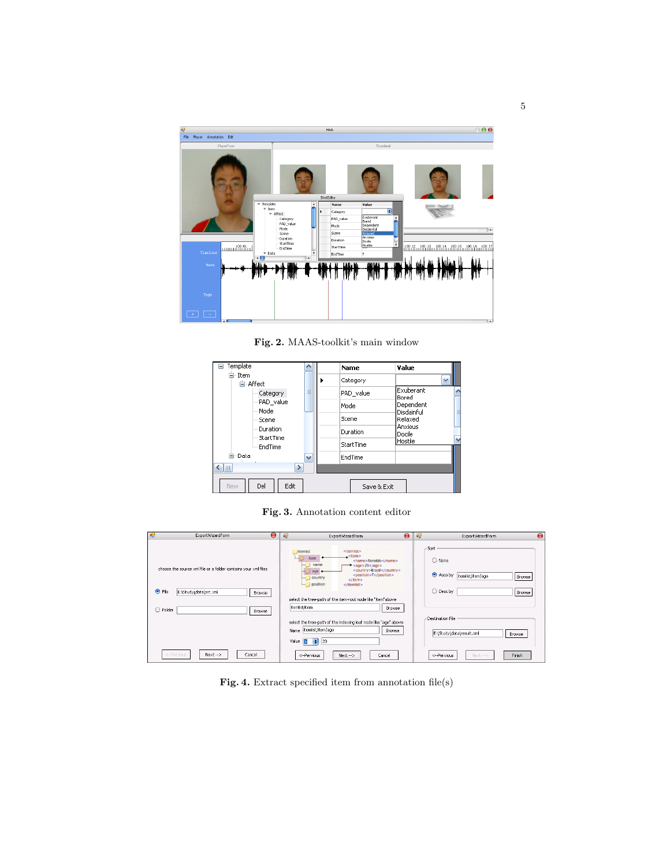

Fig. 2. MAAS-toolkit's main window



Fig. 3. Annotation content editor

| $\mathbf{a}$<br>ExportWizardForm<br>Ο                                                                                                     | <b>a</b><br>$\Theta$<br>ExportWizardForm                                                                                                                                                                                                                                                                                                                                     | $\Theta$<br>幔<br>ExportWizardForm                                                         |
|-------------------------------------------------------------------------------------------------------------------------------------------|------------------------------------------------------------------------------------------------------------------------------------------------------------------------------------------------------------------------------------------------------------------------------------------------------------------------------------------------------------------------------|-------------------------------------------------------------------------------------------|
| choose the source xml file or a folder contains your xml files<br>$\bullet$ File<br>E:\Studyidata\src.xml<br>Browse<br>◯ Folder<br>Browse | <itemlist><br/>litemlist<br/><math>\leq</math>item<br/>item<br/><name>Ronaldo</name><br/>name<br/><math>\rightarrow</math> <age>29</age><br/><country>Brazil</country><br/>age ·<br/><position>F</position><br/>country<br/><math>\le</math>/item&gt;<br/>position<br/></itemlist><br>select the tree-path of the item-root node like "item"above<br>itemlist/item<br>Browse | Sort<br>O None<br>Asce by<br>itemlist/item/age<br>Browse<br>◯ Desc by<br>Browse           |
| <--Pervious<br>$Next -$<br>Cancel                                                                                                         | select the tree-path of the indexing leaf node like "age" above<br>Name itemlist/item/age<br>Browse<br>Value <b>S</b><br>H≜Ì<br> 20<br><-- Pervious<br>$Next \rightarrow$<br>Cancel                                                                                                                                                                                          | Destination File<br>E:\Study\data\result.xml<br>Browse<br><--Pervious<br>Finish<br>Next-> |

Fig. 4. Extract specified item from annotation file(s)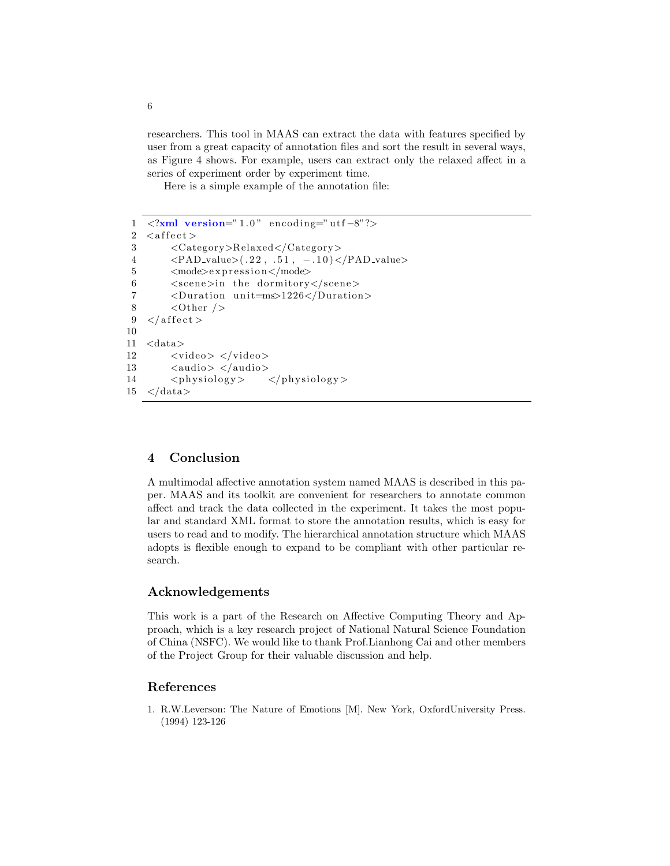researchers. This tool in MAAS can extract the data with features specified by user from a great capacity of annotation files and sort the result in several ways, as Figure 4 shows. For example, users can extract only the relaxed affect in a series of experiment order by experiment time.

Here is a simple example of the annotation file:

```
1 \leq 2 xml version=" 1.0" encoding=" utf -8"?>
2 <a f f e c t >3 <Category>Relaxed</Category>
 4 \langle \text{PAD_value} \rangle (.22, .51, -.10) \langle \text{PAD_value} \rangle5 <mode>expression</mode>
6 \langle scene>in the dormitory\langle /scene>
 7 <Duration unit=ms>1226</Duration>
 8 <Other />
9 \langle affect >
10
11 <data>
12 <video> </video>
13 \langle \text{audio}\rangle \langle \text{audio}\rangle14 <physiology> </physiology>
15 \quad \langle \text{data} \rangle
```
# 4 Conclusion

A multimodal affective annotation system named MAAS is described in this paper. MAAS and its toolkit are convenient for researchers to annotate common affect and track the data collected in the experiment. It takes the most popular and standard XML format to store the annotation results, which is easy for users to read and to modify. The hierarchical annotation structure which MAAS adopts is flexible enough to expand to be compliant with other particular research.

## Acknowledgements

This work is a part of the Research on Affective Computing Theory and Approach, which is a key research project of National Natural Science Foundation of China (NSFC). We would like to thank Prof.Lianhong Cai and other members of the Project Group for their valuable discussion and help.

## References

1. R.W.Leverson: The Nature of Emotions [M]. New York, OxfordUniversity Press. (1994) 123-126

6